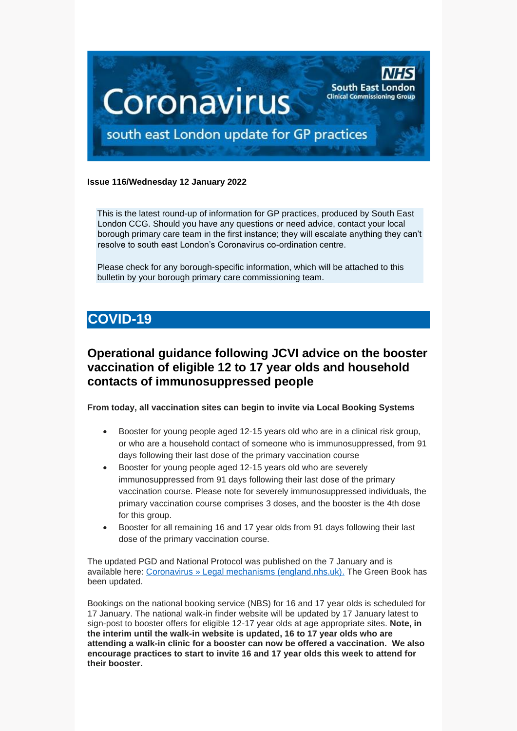

### **Issue 116/Wednesday 12 January 2022**

This is the latest round-up of information for GP practices, produced by South East London CCG. Should you have any questions or need advice, contact your local borough primary care team in the first instance; they will escalate anything they can't resolve to south east London's Coronavirus co-ordination centre.

Please check for any borough-specific information, which will be attached to this bulletin by your borough primary care commissioning team.

# **COVID-19**

# **Operational guidance following JCVI advice on the booster vaccination of eligible 12 to 17 year olds and household contacts of immunosuppressed people**

**From today, all vaccination sites can begin to invite via Local Booking Systems**

- Booster for young people aged 12-15 years old who are in a clinical risk group, or who are a household contact of someone who is immunosuppressed, from 91 days following their last dose of the primary vaccination course
- Booster for young people aged 12-15 years old who are severely immunosuppressed from 91 days following their last dose of the primary vaccination course. Please note for severely immunosuppressed individuals, the primary vaccination course comprises 3 doses, and the booster is the 4th dose for this group.
- Booster for all remaining 16 and 17 year olds from 91 days following their last dose of the primary vaccination course.

The updated PGD and National Protocol was published on the 7 January and is available here: [Coronavirus » Legal mechanisms \(england.nhs.uk\).](https://www.england.nhs.uk/coronavirus/covid-19-vaccination-programme/legal-mechanisms/) The Green Book has been updated.

Bookings on the national booking service (NBS) for 16 and 17 year olds is scheduled for 17 January. The national walk-in finder website will be updated by 17 January latest to sign-post to booster offers for eligible 12-17 year olds at age appropriate sites. **Note, in the interim until the walk-in website is updated, 16 to 17 year olds who are attending a walk-in clinic for a booster can now be offered a vaccination. We also encourage practices to start to invite 16 and 17 year olds this week to attend for their booster.**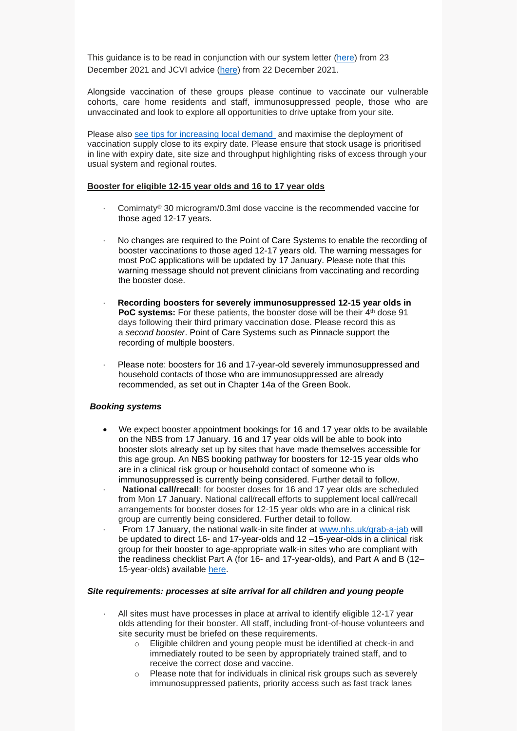This guidance is to be read in conjunction with our system letter [\(here\)](https://www.england.nhs.uk/coronavirus/wp-content/uploads/sites/52/2021/12/C1524-updated-jvci-advice-for-the-vaccination-of-children-and-young-people.pdf) from 23 December 2021 and JCVI advice [\(here\)](https://www.gov.uk/government/publications/jcvi-update-on-advice-for-covid-19-vaccination-of-children-and-young-people) from 22 December 2021.

Alongside vaccination of these groups please continue to vaccinate our vulnerable cohorts, care home residents and staff, immunosuppressed people, those who are unvaccinated and look to explore all opportunities to drive uptake from your site.

Please also [see tips for increasing local demand](https://future.nhs.uk/P_C_N/view?objectId=121369733) and maximise the deployment of vaccination supply close to its expiry date. Please ensure that stock usage is prioritised in line with expiry date, site size and throughput highlighting risks of excess through your usual system and regional routes.

### **Booster for eligible 12-15 year olds and 16 to 17 year olds**

- · Comirnaty® 30 microgram/0.3ml dose vaccine is the recommended vaccine for those aged 12-17 years.
- No changes are required to the Point of Care Systems to enable the recording of booster vaccinations to those aged 12-17 years old. The warning messages for most PoC applications will be updated by 17 January. Please note that this warning message should not prevent clinicians from vaccinating and recording the booster dose.
- · **Recording boosters for severely immunosuppressed 12-15 year olds in PoC systems:** For these patients, the booster dose will be their 4<sup>th</sup> dose 91 days following their third primary vaccination dose. Please record this as a *second booster*. Point of Care Systems such as Pinnacle support the recording of multiple boosters.
- Please note: boosters for 16 and 17-year-old severely immunosuppressed and household contacts of those who are immunosuppressed are already recommended, as set out in Chapter 14a of the Green Book.

### *Booking systems*

- We expect booster appointment bookings for 16 and 17 year olds to be available on the NBS from 17 January. 16 and 17 year olds will be able to book into booster slots already set up by sites that have made themselves accessible for this age group. An NBS booking pathway for boosters for 12-15 year olds who are in a clinical risk group or household contact of someone who is immunosuppressed is currently being considered. Further detail to follow.
- National call/recall: for booster doses for 16 and 17 year olds are scheduled from Mon 17 January. National call/recall efforts to supplement local call/recall arrangements for booster doses for 12-15 year olds who are in a clinical risk group are currently being considered. Further detail to follow.
- · From 17 January, the national walk-in site finder at [www.nhs.uk/grab-a-jab](http://www.nhs.uk/grab-a-jab) will be updated to direct 16- and 17-year-olds and 12 –15-year-olds in a clinical risk group for their booster to age-appropriate walk-in sites who are compliant with the readiness checklist Part A (for 16- and 17-year-olds), and Part A and B (12– 15-year-olds) available [here.](https://future.nhs.uk/CovidVaccinations/view?objectId=122010373)

#### *Site requirements: processes at site arrival for all children and young people*

- All sites must have processes in place at arrival to identify eligible 12-17 year olds attending for their booster. All staff, including front-of-house volunteers and site security must be briefed on these requirements.
	- o Eligible children and young people must be identified at check-in and immediately routed to be seen by appropriately trained staff, and to receive the correct dose and vaccine.
	- o Please note that for individuals in clinical risk groups such as severely immunosuppressed patients, priority access such as fast track lanes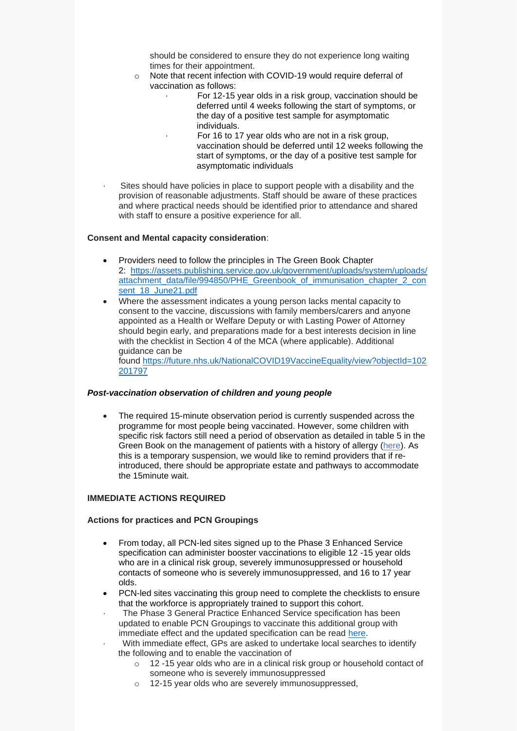should be considered to ensure they do not experience long waiting times for their appointment.

- o Note that recent infection with COVID-19 would require deferral of vaccination as follows:
	- For 12-15 year olds in a risk group, vaccination should be deferred until 4 weeks following the start of symptoms, or the day of a positive test sample for asymptomatic individuals.
		- For 16 to 17 year olds who are not in a risk group, vaccination should be deferred until 12 weeks following the start of symptoms, or the day of a positive test sample for asymptomatic individuals
- Sites should have policies in place to support people with a disability and the provision of reasonable adjustments. Staff should be aware of these practices and where practical needs should be identified prior to attendance and shared with staff to ensure a positive experience for all.

#### **Consent and Mental capacity consideration**:

- Providers need to follow the principles in The Green Book Chapter 2: [https://assets.publishing.service.gov.uk/government/uploads/system/uploads/](https://assets.publishing.service.gov.uk/government/uploads/system/uploads/attachment_data/file/994850/PHE_Greenbook_of_immunisation_chapter_2_consent_18_June21.pdf) [attachment\\_data/file/994850/PHE\\_Greenbook\\_of\\_immunisation\\_chapter\\_2\\_con](https://assets.publishing.service.gov.uk/government/uploads/system/uploads/attachment_data/file/994850/PHE_Greenbook_of_immunisation_chapter_2_consent_18_June21.pdf) [sent\\_18\\_June21.pdf](https://assets.publishing.service.gov.uk/government/uploads/system/uploads/attachment_data/file/994850/PHE_Greenbook_of_immunisation_chapter_2_consent_18_June21.pdf)
- Where the assessment indicates a young person lacks mental capacity to consent to the vaccine, discussions with family members/carers and anyone appointed as a Health or Welfare Deputy or with Lasting Power of Attorney should begin early, and preparations made for a best interests decision in line with the checklist in Section 4 of the MCA (where applicable). Additional guidance can be

found [https://future.nhs.uk/NationalCOVID19VaccineEquality/view?objectId=102](https://future.nhs.uk/NationalCOVID19VaccineEquality/view?objectId=102201797) [201797](https://future.nhs.uk/NationalCOVID19VaccineEquality/view?objectId=102201797)

### *Post-vaccination observation of children and young people*

• The required 15-minute observation period is currently suspended across the programme for most people being vaccinated. However, some children with specific risk factors still need a period of observation as detailed in table 5 in the Green Book on the management of patients with a history of allergy [\(here\)](https://assets.publishing.service.gov.uk/government/uploads/system/uploads/attachment_data/file/1043861/Greenbook-chapter-14a-24Dec21.pdf). As this is a temporary suspension, we would like to remind providers that if reintroduced, there should be appropriate estate and pathways to accommodate the 15minute wait.

### **IMMEDIATE ACTIONS REQUIRED**

#### **Actions for practices and PCN Groupings**

- From today, all PCN-led sites signed up to the Phase 3 Enhanced Service specification can administer booster vaccinations to eligible 12 -15 year olds who are in a clinical risk group, severely immunosuppressed or household contacts of someone who is severely immunosuppressed, and 16 to 17 year olds.
- PCN-led sites vaccinating this group need to complete the checklists to ensure that the workforce is appropriately trained to support this cohort.
- The Phase 3 General Practice Enhanced Service specification has been updated to enable PCN Groupings to vaccinate this additional group with immediate effect and the updated specification can be read [here.](https://www.england.nhs.uk/coronavirus/publication/enhanced-service-specification-phase-3-coronavirus-vaccination/)
- · With immediate effect, GPs are asked to undertake local searches to identify the following and to enable the vaccination of
	- o 12 -15 year olds who are in a clinical risk group or household contact of someone who is severely immunosuppressed
	- o 12-15 year olds who are severely immunosuppressed,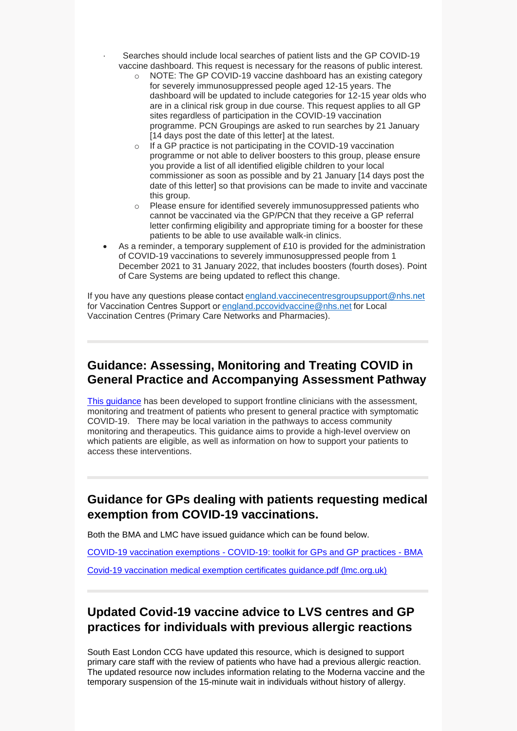- Searches should include local searches of patient lists and the GP COVID-19 vaccine dashboard. This request is necessary for the reasons of public interest.
	- o NOTE: The GP COVID-19 vaccine dashboard has an existing category for severely immunosuppressed people aged 12-15 years. The dashboard will be updated to include categories for 12-15 year olds who are in a clinical risk group in due course. This request applies to all GP sites regardless of participation in the COVID-19 vaccination programme. PCN Groupings are asked to run searches by 21 January [14 days post the date of this letter] at the latest.
	- o If a GP practice is not participating in the COVID-19 vaccination programme or not able to deliver boosters to this group, please ensure you provide a list of all identified eligible children to your local commissioner as soon as possible and by 21 January [14 days post the date of this letter] so that provisions can be made to invite and vaccinate this group.
	- o Please ensure for identified severely immunosuppressed patients who cannot be vaccinated via the GP/PCN that they receive a GP referral letter confirming eligibility and appropriate timing for a booster for these patients to be able to use available walk-in clinics.
- As a reminder, a temporary supplement of  $£10$  is provided for the administration of COVID-19 vaccinations to severely immunosuppressed people from 1 December 2021 to 31 January 2022, that includes boosters (fourth doses). Point of Care Systems are being updated to reflect this change.

If you have any questions please contact england.vaccinecentresgroupsupport@nhs.net for Vaccination Centres Support or england.pccovidvaccine@nhs.net for Local Vaccination Centres (Primary Care Networks and Pharmacies).

## **Guidance: Assessing, Monitoring and Treating COVID in General Practice and Accompanying Assessment Pathway**

[This guidance](https://selondonccg.nhs.uk/wp-content/uploads/2022/01/C1514_Assessing-monitoring-and-treating-COVID-in-General-Practice_060122.pdf) has been developed to support frontline clinicians with the assessment, monitoring and treatment of patients who present to general practice with symptomatic COVID-19. There may be local variation in the pathways to access community monitoring and therapeutics. This guidance aims to provide a high-level overview on which patients are eligible, as well as information on how to support your patients to access these interventions.

## **Guidance for GPs dealing with patients requesting medical exemption from COVID-19 vaccinations.**

Both the BMA and LMC have issued guidance which can be found below.

COVID-19 vaccination exemptions - [COVID-19: toolkit for GPs and GP practices -](https://www.bma.org.uk/advice-and-support/covid-19/gp-practices/covid-19-toolkit-for-gps-and-gp-practices/covid-19-vaccination-exemptions) BMA

[Covid-19 vaccination medical exemption certificates guidance.pdf \(lmc.org.uk\)](https://www.lmc.org.uk/visageimages/2021%20Londonwide%20Newsletters/Covid-19%20vaccination%20medical%20exemption%20certificates%20guidance.pdf)

# **Updated Covid-19 vaccine advice to LVS centres and GP practices for individuals with previous allergic reactions**

South East London CCG have updated this resource, which is designed to support primary care staff with the review of patients who have had a previous allergic reaction. The updated resource now includes information relating to the Moderna vaccine and the temporary suspension of the 15-minute wait in individuals without history of allergy.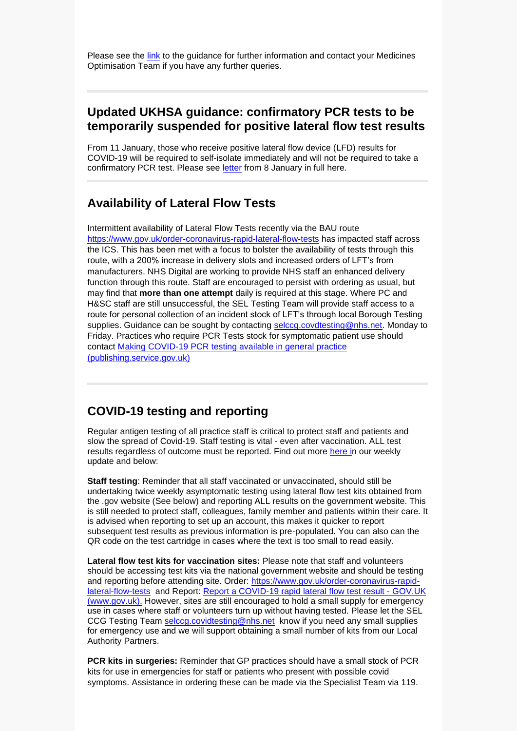Please see the [link](https://selondonccg.nhs.uk/wp-content/uploads/2022/01/Updated-allergy-pathway-Dec-21.pdf) to the guidance for further information and contact your Medicines Optimisation Team if you have any further queries.

### **Updated UKHSA guidance: confirmatory PCR tests to be temporarily suspended for positive lateral flow test results**

From 11 January, those who receive positive lateral flow device (LFD) results for COVID-19 will be required to self-isolate immediately and will not be required to take a confirmatory PCR test. Please see [letter](https://selondonccg.nhs.uk/wp-content/uploads/2022/01/Updated-UK-Health-Security-Agency-guidance-confirmatory-PCR-testing.pdf) from 8 January in full here.

### **Availability of Lateral Flow Tests**

Intermittent availability of Lateral Flow Tests recently via the BAU route <https://www.gov.uk/order-coronavirus-rapid-lateral-flow-tests> has impacted staff across the ICS. This has been met with a focus to bolster the availability of tests through this route, with a 200% increase in delivery slots and increased orders of LFT's from manufacturers. NHS Digital are working to provide NHS staff an enhanced delivery function through this route. Staff are encouraged to persist with ordering as usual, but may find that **more than one attempt** daily is required at this stage. Where PC and H&SC staff are still unsuccessful, the SEL Testing Team will provide staff access to a route for personal collection of an incident stock of LFT's through local Borough Testing supplies. Guidance can be sought by contacting [selccg.covdtesting@nhs.net.](mailto:selccg.covdtesting@nhs.net) Monday to Friday. Practices who require PCR Tests stock for symptomatic patient use should contact [Making COVID-19 PCR testing available in general practice](https://assets.publishing.service.gov.uk/government/uploads/system/uploads/attachment_data/file/932740/Making_COVID-19_PCR_testing_available_in_general_practice.pdf)  [\(publishing.service.gov.uk\)](https://assets.publishing.service.gov.uk/government/uploads/system/uploads/attachment_data/file/932740/Making_COVID-19_PCR_testing_available_in_general_practice.pdf)

### **COVID-19 testing and reporting**

Regular antigen testing of all practice staff is critical to protect staff and patients and slow the spread of Covid-19. Staff testing is vital - even after vaccination. ALL test results regardless of outcome must be reported. Find out more [here](https://selondonccg.nhs.uk/wp-content/uploads/2022/01/Key-messages-for-GP-weekly-bulletin-7-January-2022.pdf) in our weekly update and below:

**Staff testing**: Reminder that all staff vaccinated or unvaccinated, should still be undertaking twice weekly asymptomatic testing using lateral flow test kits obtained from the .gov website (See below) and reporting ALL results on the government website. This is still needed to protect staff, colleagues, family member and patients within their care. It is advised when reporting to set up an account, this makes it quicker to report subsequent test results as previous information is pre-populated. You can also can the QR code on the test cartridge in cases where the text is too small to read easily.

**Lateral flow test kits for vaccination sites:** Please note that staff and volunteers should be accessing test kits via the national government website and should be testing and reporting before attending site. Order: [https://www.gov.uk/order-coronavirus-rapid](https://www.gov.uk/order-coronavirus-rapid-lateral-flow-tests)[lateral-flow-tests](https://www.gov.uk/order-coronavirus-rapid-lateral-flow-tests) and Report: [Report a COVID-19 rapid lateral flow test result -](https://www.gov.uk/report-covid19-result) GOV.UK [\(www.gov.uk\).](https://www.gov.uk/report-covid19-result) However, sites are still encouraged to hold a small supply for emergency use in cases where staff or volunteers turn up without having tested. Please let the SEL CCG Testing Team [selccg.covidtesting@nhs.net](mailto:selccg.covidtesting@nhs.net) know if you need any small supplies for emergency use and we will support obtaining a small number of kits from our Local Authority Partners.

**PCR kits in surgeries:** Reminder that GP practices should have a small stock of PCR kits for use in emergencies for staff or patients who present with possible covid symptoms. Assistance in ordering these can be made via the Specialist Team via 119.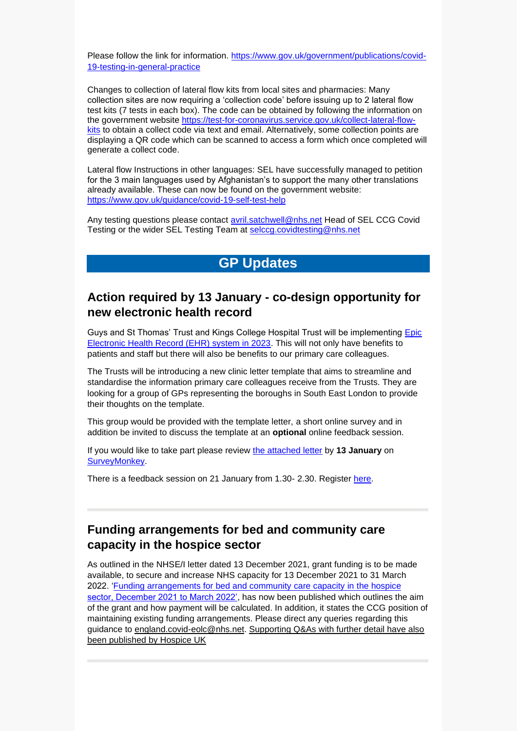Please follow the link for information. [https://www.gov.uk/government/publications/covid-](https://www.gov.uk/government/publications/covid-19-testing-in-general-practice)[19-testing-in-general-practice](https://www.gov.uk/government/publications/covid-19-testing-in-general-practice)

Changes to collection of lateral flow kits from local sites and pharmacies: Many collection sites are now requiring a 'collection code' before issuing up to 2 lateral flow test kits (7 tests in each box). The code can be obtained by following the information on the government website [https://test-for-coronavirus.service.gov.uk/collect-lateral-flow](https://test-for-coronavirus.service.gov.uk/collect-lateral-flow-kits)[kits](https://test-for-coronavirus.service.gov.uk/collect-lateral-flow-kits) to obtain a collect code via text and email. Alternatively, some collection points are displaying a QR code which can be scanned to access a form which once completed will generate a collect code.

Lateral flow Instructions in other languages: SEL have successfully managed to petition for the 3 main languages used by Afghanistan's to support the many other translations already available. These can now be found on the government website: <https://www.gov.uk/guidance/covid-19-self-test-help>

Any testing questions please contact [avril.satchwell@nhs.net](mailto:avril.satchwell@nhs.net) Head of SEL CCG Covid Testing or the wider SEL Testing Team at [selccg.covidtesting@nhs.net](mailto:selccg.covidtesting@nhs.net)

# **GP Updates**

## **Action required by 13 January - co-design opportunity for new electronic health record**

Guys and St Thomas' Trust and Kings College Hospital Trust will be implementing Epic [Electronic Health Record \(EHR\) system in 2023.](https://www.guysandstthomas.nhs.uk/about-us/electronic-health-record/electronic-health-record.aspx) This will not only have benefits to patients and staff but there will also be benefits to our primary care colleagues.

The Trusts will be introducing a new clinic letter template that aims to streamline and standardise the information primary care colleagues receive from the Trusts. They are looking for a group of GPs representing the boroughs in South East London to provide their thoughts on the template.

This group would be provided with the template letter, a short online survey and in addition be invited to discuss the template at an **optional** online feedback session.

If you would like to take part please review [the attached letter](https://selondonccg.nhs.uk/wp-content/uploads/2021/12/Epic-Clinic-Letter-Example_20211202.pdf) by **13 January** on [SurveyMonkey.](https://www.surveymonkey.co.uk/r/RFFPMN9)

There is a feedback session on 21 January from 1.30- 2.30. Register [here.](https://www.eventbrite.co.uk/e/gp-clinic-letter-feedback-session-tickets-227593928567)

## **Funding arrangements for bed and community care capacity in the hospice sector**

As outlined in the NHSE/I letter dated 13 December 2021, grant funding is to be made available, to secure and increase NHS capacity for 13 December 2021 to 31 March 2022. ['Funding arrangements for bed and community care capacity in the hospice](https://www.england.nhs.uk/coronavirus/publication/funding-arrangements-for-bed-and-community-care-capacity-in-the-hospice-sector/)  [sector, December 2021 to March 2022',](https://www.england.nhs.uk/coronavirus/publication/funding-arrangements-for-bed-and-community-care-capacity-in-the-hospice-sector/) has now been published which outlines the aim of the grant and how payment will be calculated. In addition, it states the CCG position of maintaining existing funding arrangements. Please direct any queries regarding this guidance to [england.covid-eolc@nhs.net.](mailto:england.covid-eolc@nhs.net) [Supporting Q&As with further detail have also](https://www.hospiceuk.org/professionals/grants/nhs-england-and-nhs-improvement-funding-programme)  [been published by Hospice UK](https://www.hospiceuk.org/professionals/grants/nhs-england-and-nhs-improvement-funding-programme)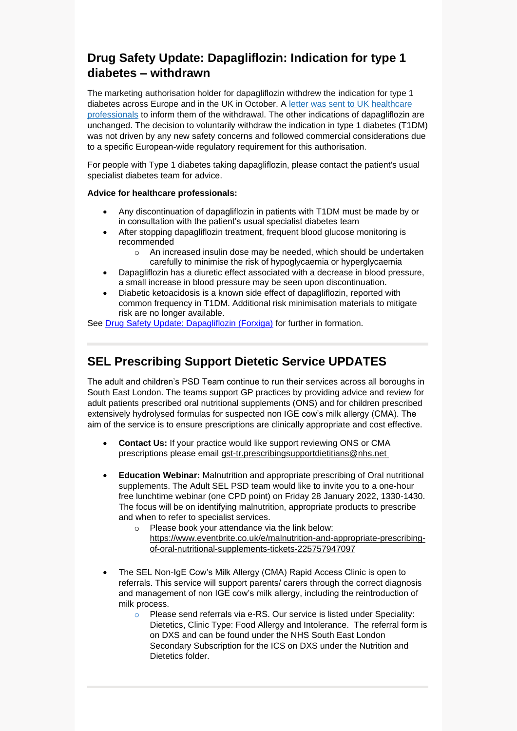# **Drug Safety Update: Dapagliflozin: Indication for type 1 diabetes – withdrawn**

The marketing authorisation holder for dapagliflozin withdrew the indication for type 1 diabetes across Europe and in the UK in October. A [letter was sent to UK healthcare](https://assets.publishing.service.gov.uk/media/619374948fa8f5037ffaa083/20211102-uk-dhpc-forxiga-T1D-withdrawal.pdf)  [professionals](https://assets.publishing.service.gov.uk/media/619374948fa8f5037ffaa083/20211102-uk-dhpc-forxiga-T1D-withdrawal.pdf) to inform them of the withdrawal. The other indications of dapagliflozin are unchanged. The decision to voluntarily withdraw the indication in type 1 diabetes (T1DM) was not driven by any new safety concerns and followed commercial considerations due to a specific European-wide regulatory requirement for this authorisation.

For people with Type 1 diabetes taking dapagliflozin, please contact the patient's usual specialist diabetes team for advice.

### **Advice for healthcare professionals:**

- Any discontinuation of dapagliflozin in patients with T1DM must be made by or in consultation with the patient's usual specialist diabetes team
- After stopping dapagliflozin treatment, frequent blood glucose monitoring is recommended
	- o An increased insulin dose may be needed, which should be undertaken carefully to minimise the risk of hypoglycaemia or hyperglycaemia
- Dapagliflozin has a diuretic effect associated with a decrease in blood pressure, a small increase in blood pressure may be seen upon discontinuation.
- Diabetic ketoacidosis is a known side effect of dapagliflozin, reported with common frequency in T1DM. Additional risk minimisation materials to mitigate risk are no longer available.

See [Drug Safety Update: Dapagliflozin \(Forxiga\)](https://www.gov.uk/drug-safety-update/dapagliflozin-forxiga-no-longer-authorised-for-treatment-of-type-1-diabetes-mellitus) for further in formation.

# **SEL Prescribing Support Dietetic Service UPDATES**

The adult and children's PSD Team continue to run their services across all boroughs in South East London. The teams support GP practices by providing advice and review for adult patients prescribed oral nutritional supplements (ONS) and for children prescribed extensively hydrolysed formulas for suspected non IGE cow's milk allergy (CMA). The aim of the service is to ensure prescriptions are clinically appropriate and cost effective.

- **Contact Us:** If your practice would like support reviewing ONS or CMA prescriptions please email [gst-tr.prescribingsupportdietitians@nhs.net](mailto:gst-tr.prescribingsupportdietitians@nhs.net)
- **Education Webinar:** Malnutrition and appropriate prescribing of Oral nutritional supplements. The Adult SEL PSD team would like to invite you to a one-hour free lunchtime webinar (one CPD point) on Friday 28 January 2022, 1330-1430. The focus will be on identifying malnutrition, appropriate products to prescribe and when to refer to specialist services.
	- o Please book your attendance via the link below: [https://www.eventbrite.co.uk/e/malnutrition-and-appropriate-prescribing](https://www.eventbrite.co.uk/e/malnutrition-and-appropriate-prescribing-of-oral-nutritional-supplements-tickets-225757947097)[of-oral-nutritional-supplements-tickets-225757947097](https://www.eventbrite.co.uk/e/malnutrition-and-appropriate-prescribing-of-oral-nutritional-supplements-tickets-225757947097)
- The SEL Non-IgE Cow's Milk Allergy (CMA) Rapid Access Clinic is open to referrals. This service will support parents/ carers through the correct diagnosis and management of non IGE cow's milk allergy, including the reintroduction of milk process.
	- o Please send referrals via e-RS. Our service is listed under Speciality: Dietetics, Clinic Type: Food Allergy and Intolerance. The referral form is on DXS and can be found under the NHS South East London Secondary Subscription for the ICS on DXS under the Nutrition and Dietetics folder.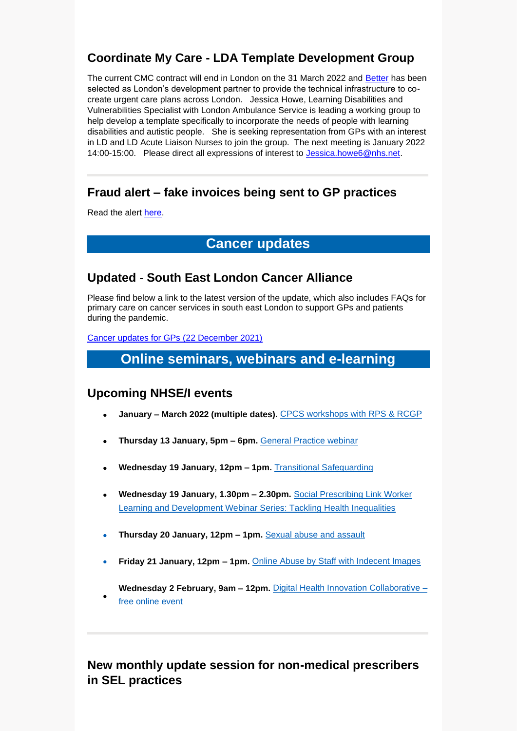# **Coordinate My Care - LDA Template Development Group**

The current CMC contract will end in London on the 31 March 2022 and [Better](https://www.better.care/) has been selected as London's development partner to provide the technical infrastructure to cocreate urgent care plans across London. Jessica Howe, Learning Disabilities and Vulnerabilities Specialist with London Ambulance Service is leading a working group to help develop a template specifically to incorporate the needs of people with learning disabilities and autistic people. She is seeking representation from GPs with an interest in LD and LD Acute Liaison Nurses to join the group. The next meeting is January 2022 14:00-15:00. Please direct all expressions of interest to [Jessica.howe6@nhs.net.](mailto:Jessica.howe6@nhs.net)

# **Fraud alert – fake invoices being sent to GP practices**

Read the alert [here.](https://selondonccg.nhs.uk/wp-content/uploads/2022/01/TIAA-Fraud-Alert-Fake-Invoices-Dec-2021.pdf)

# **Cancer updates**

# **Updated - South East London Cancer Alliance**

Please find below a link to the latest version of the update, which also includes FAQs for primary care on cancer services in south east London to support GPs and patients during the pandemic.

Cancer [updates for GPs \(22](https://selondonccg.nhs.uk/wp-content/uploads/2021/12/SEL-Cancer-Updates-FAQs-for-Primary-Care-22-Dec-2021-Copy.pdf) December 2021)

# **Online seminars, webinars and e-learning**

## **Upcoming NHSE/I events**

•

- **January – March 2022 (multiple dates).** [CPCS workshops with RPS & RCGP](https://generalpracticebulletin.cmail20.com/t/d-l-ahdkhhl-jumyuutz-yh/)
- **Thursday 13 January, 5pm – 6pm.** [General Practice webinar](https://generalpracticebulletin.cmail20.com/t/d-l-ahdkhhl-jumyuutz-yk/)
- **Wednesday 19 January, 12pm – 1pm.** [Transitional Safeguarding](https://generalpracticebulletin.cmail20.com/t/d-l-ahdkhhl-jumyuutz-jy/)
- **Wednesday 19 January, 1.30pm – 2.30pm.** [Social Prescribing Link Worker](https://generalpracticebulletin.cmail20.com/t/d-l-ahdkhhl-jumyuutz-jj/)  [Learning and Development Webinar Series: Tackling Health Inequalities](https://generalpracticebulletin.cmail20.com/t/d-l-ahdkhhl-jumyuutz-jj/)
- **Thursday 20 January, 12pm – 1pm.** [Sexual abuse and assault](https://generalpracticebulletin.cmail20.com/t/d-l-ahdkhhl-jumyuutz-jt/)
- **Friday 21 January, 12pm – 1pm.** [Online Abuse by Staff with Indecent Images](https://generalpracticebulletin.cmail20.com/t/d-l-ahdkhhl-jumyuutz-ji/)

**Wednesday 2 February, 9am – 12pm.** [Digital Health Innovation Collaborative –](https://generalpracticebulletin.cmail20.com/t/d-l-ahdkhhl-jumyuutz-jd/) [free online event](https://generalpracticebulletin.cmail20.com/t/d-l-ahdkhhl-jumyuutz-jd/)

# **New monthly update session for non-medical prescribers in SEL practices**